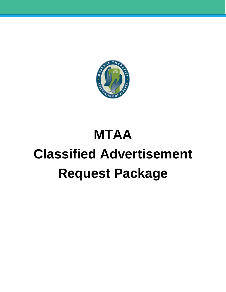

# **MTAA Classified Advertisement Request Package**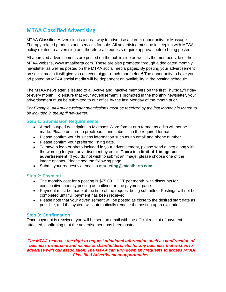# **MTAA Classified Advertising**

MTAA Classified Advertising is a great way to advertise a career opportunity, or Massage Therapy related products and services for sale. All advertising must be in keeping with MTAA policy related to advertising and therefore all requests require approval before being posted.

All approved advertisements are posted on the public side as well as the member side of the MTAA website, [www.mtaalberta.com.](http://www.mtaalberta.com/) These are also promoted through a dedicated monthly newsletter as well as posted on the MTAA social media pages. By posting your advertisement on social media it will give you an even bigger reach than before! The opportunity to have your ad posted on MTAA social media will be dependent on availability in the posting schedule.

The MTAA newsletter is issued to all Active and Inactive members on the first Thursday/Friday of every month. To ensure that your advertisement is promoted in the monthly newsletter, your advertisement must be submitted to our office by the last Monday of the month prior.

*For Example, all April newsletter submissions must be received by the last Monday in March to be included in the April newsletter.*

## **Step 1: Submission Requirements**

- Attach a typed description in Microsoft Word format or a format as edits will not be made. Please be sure to proofread it and submit it in the required format.
- Please confirm your business information such as an email and phone number.
- Please confirm your preferred listing date.
- To have a logo or photo included in your advertisement, please send a jpeg along with the wording for your advertisement by email. **There is a limit of 1 image per advertisement**. If you do not wish to submit an image, please choose one of the image options. Please see the following page.
- Submit your request via email to **[marketing@mtaalberta.com.](mailto:marketing@mtaalberta.com)**

#### **Step 2: Payment**

- The monthly cost for a posting is \$75.00 + GST per month, with discounts for consecutive monthly posting as outlined on the payment page.
- Payment must be made at the time of the request being submitted. Postings will not be completed until full payment has been received.
- Please note that your advertisement will be posted as close to the desired start date as possible, and the system will automatically remove the posting upon expiration.

#### **Step 3: Confirmation**

Once payment is received, you will be sent an email with the official receipt of payment attached, confirming that the advertisement has been posted.

*The MTAA reserves the right to request additional information such as confirmation of business ownership and names of shareholders, etc. for any business that wishes to advertise with our association. The MTAA can turn down any requests to access MTAA Classified Advertisement opportunities.*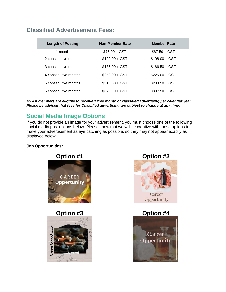# **Classified Advertisement Fees:**

| <b>Length of Posting</b> | Non-Member Rate | <b>Member Rate</b> |
|--------------------------|-----------------|--------------------|
| 1 month                  | $$75.00 + GST$  | $$67.50 + GST$     |
| 2 consecutive months     | $$120.00 + GST$ | $$108.00 + GST$    |
| 3 consecutive months     | $$185.00 + GST$ | $$166.50 + GST$    |
| 4 consecutive months     | $$250.00 + GST$ | $$225.00 + GST$    |
| 5 consecutive months     | $$315.00 + GST$ | $$283.50 + GST$    |
| 6 consecutive months     | $$375.00 + GST$ | $$337.50 + GST$    |

*MTAA members are eligible to receive 1 free month of classified advertising per calendar year. Please be advised that fees for Classified advertising are subject to change at any time.*

# **Social Media Image Options**

If you do not provide an image for your advertisement, you must choose one of the following social media post options below. Please know that we will be creative with these options to make your advertisement as eye catching as possible, so they may not appear exactly as displayed below.

## **Job Opportunities:**



**Option #3 Option #4**





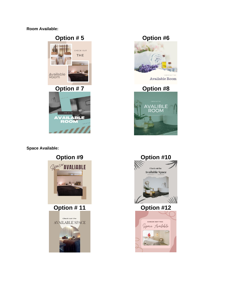**Room Available:**



777

## **Space Available:**







Available Room



# **Option #9 Option #10**